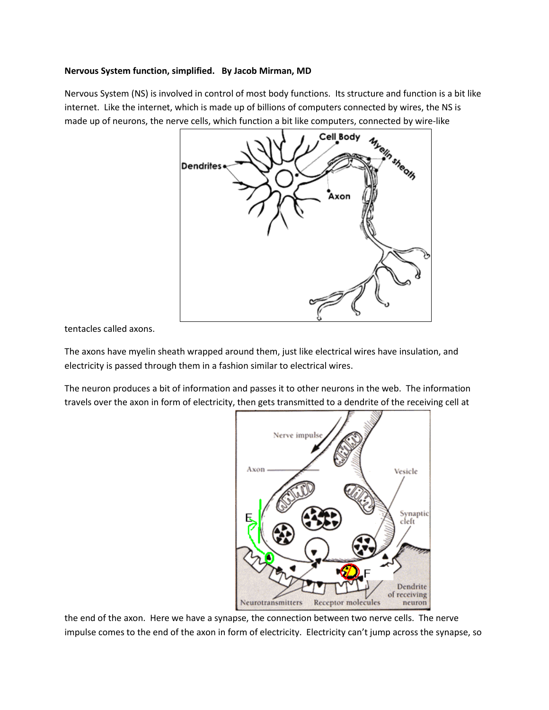## **Nervous System function, simplified. By Jacob Mirman, MD**

Nervous System (NS) is involved in control of most body functions. Its structure and function is a bit like internet. Like the internet, which is made up of billions of computers connected by wires, the NS is made up of neurons, the nerve cells, which function a bit like computers, connected by wire-like



tentacles called axons.

The axons have myelin sheath wrapped around them, just like electrical wires have insulation, and electricity is passed through them in a fashion similar to electrical wires.

The neuron produces a bit of information and passes it to other neurons in the web. The information travels over the axon in form of electricity, then gets transmitted to a dendrite of the receiving cell at



the end of the axon. Here we have a synapse, the connection between two nerve cells. The nerve impulse comes to the end of the axon in form of electricity. Electricity can't jump across the synapse, so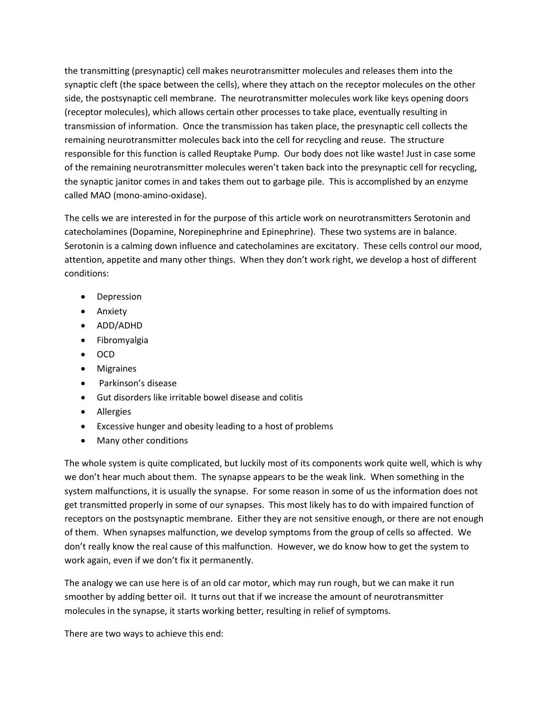the transmitting (presynaptic) cell makes neurotransmitter molecules and releases them into the synaptic cleft (the space between the cells), where they attach on the receptor molecules on the other side, the postsynaptic cell membrane. The neurotransmitter molecules work like keys opening doors (receptor molecules), which allows certain other processes to take place, eventually resulting in transmission of information. Once the transmission has taken place, the presynaptic cell collects the remaining neurotransmitter molecules back into the cell for recycling and reuse. The structure responsible for this function is called Reuptake Pump. Our body does not like waste! Just in case some of the remaining neurotransmitter molecules weren't taken back into the presynaptic cell for recycling, the synaptic janitor comes in and takes them out to garbage pile. This is accomplished by an enzyme called MAO (mono-amino-oxidase).

The cells we are interested in for the purpose of this article work on neurotransmitters Serotonin and catecholamines (Dopamine, Norepinephrine and Epinephrine). These two systems are in balance. Serotonin is a calming down influence and catecholamines are excitatory. These cells control our mood, attention, appetite and many other things. When they don't work right, we develop a host of different conditions:

- Depression
- Anxiety
- ADD/ADHD
- Fibromyalgia
- OCD
- Migraines
- Parkinson's disease
- Gut disorders like irritable bowel disease and colitis
- Allergies
- Excessive hunger and obesity leading to a host of problems
- Many other conditions

The whole system is quite complicated, but luckily most of its components work quite well, which is why we don't hear much about them. The synapse appears to be the weak link. When something in the system malfunctions, it is usually the synapse. For some reason in some of us the information does not get transmitted properly in some of our synapses. This most likely has to do with impaired function of receptors on the postsynaptic membrane. Either they are not sensitive enough, or there are not enough of them. When synapses malfunction, we develop symptoms from the group of cells so affected. We don't really know the real cause of this malfunction. However, we do know how to get the system to work again, even if we don't fix it permanently.

The analogy we can use here is of an old car motor, which may run rough, but we can make it run smoother by adding better oil. It turns out that if we increase the amount of neurotransmitter molecules in the synapse, it starts working better, resulting in relief of symptoms.

There are two ways to achieve this end: